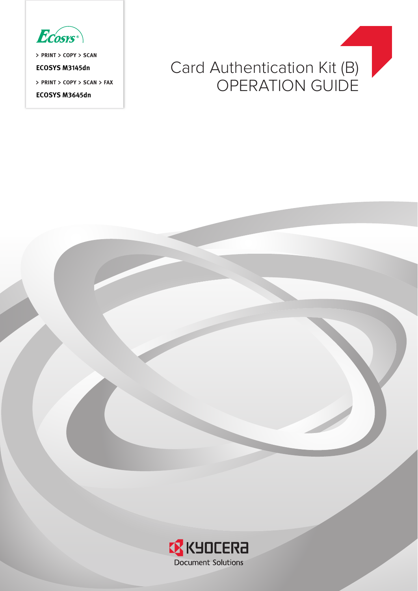

**PRINT COPY SCAN**

**ECOSYS M3145dn**

**PRINT COPY SCAN FAX**

**ECOSYS M3645dn**



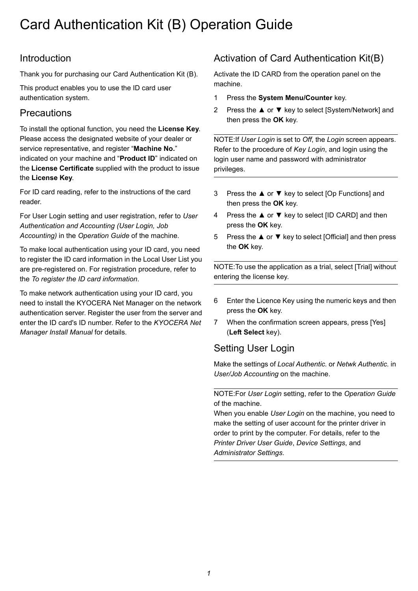# Card Authentication Kit (B) Operation Guide

# Introduction

Thank you for purchasing our Card Authentication Kit (B).

This product enables you to use the ID card user authentication system.

### **Precautions**

To install the optional function, you need the **License Key**. Please access the designated website of your dealer or service representative, and register "**Machine No.**" indicated on your machine and "**Product ID**" indicated on the **License Certificate** supplied with the product to issue the **License Key**.

For ID card reading, refer to the instructions of the card reader.

For User Login setting and user registration, refer to *User Authentication and Accounting (User Login, Job Accounting)* in the *Operation Guide* of the machine.

To make local authentication using your ID card, you need to register the ID card information in the Local User List you are pre-registered on. For registration procedure, refer to the *[To register the ID card information](#page-2-0)*.

To make network authentication using your ID card, you need to install the KYOCERA Net Manager on the network authentication server. Register the user from the server and enter the ID card's ID number. Refer to the *KYOCERA Net Manager Install Manual* for details.

# Activation of Card Authentication Kit(B)

Activate the ID CARD from the operation panel on the machine.

- 1 Press the **System Menu/Counter** key.
- 2 Press the **▲** or **▼** key to select [System/Network] and then press the **OK** key.

NOTE:If *User Login* is set to *Off*, the *Login* screen appears. Refer to the procedure of *[Key Login](#page-3-0)*, and login using the login user name and password with administrator privileges.

- 3 Press the **▲** or **▼** key to select [Op Functions] and then press the **OK** key.
- 4 Press the **▲** or **▼** key to select [ID CARD] and then press the **OK** key.
- 5 Press the **▲** or **▼** key to select [Official] and then press the **OK** key.

NOTE:To use the application as a trial, select [Trial] without entering the license key.

- 6 Enter the Licence Key using the numeric keys and then press the **OK** key.
- 7 When the confirmation screen appears, press [Yes] (**Left Select** key).

# Setting User Login

Make the settings of *Local Authentic.* or *Netwk Authentic.* in *User/Job Accounting* on the machine.

#### NOTE:For *User Login* setting, refer to the *Operation Guide* of the machine.

When you enable *User Login* on the machine, you need to make the setting of user account for the printer driver in order to print by the computer. For details, refer to the *Printer Driver User Guide*, *Device Settings*, and *Administrator Settings*.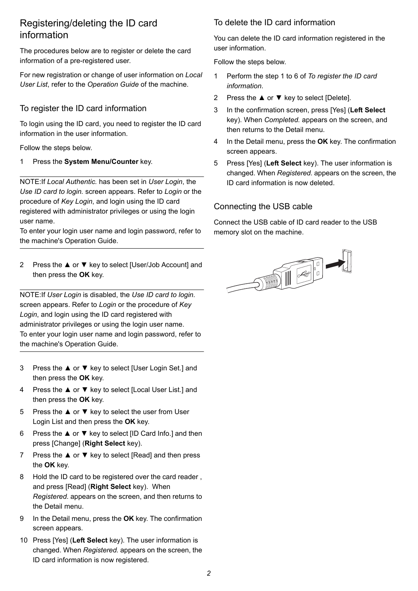### Registering/deleting the ID card information

The procedures below are to register or delete the card information of a pre-registered user.

For new registration or change of user information on *Local User List*, refer to the *Operation Guide* of the machine.

#### <span id="page-2-0"></span>To register the ID card information

To login using the ID card, you need to register the ID card information in the user information.

Follow the steps below.

1 Press the **System Menu/Counter** key.

NOTE:If *Local Authentic.* has been set in *User Login*, the *Use ID card to login.* screen appears. Refer to *[Login](#page-3-1)* or the procedure of *[Key Login](#page-3-0)*, and login using the ID card registered with administrator privileges or using the login user name.

To enter your login user name and login password, refer to the machine's Operation Guide.

2 Press the **▲** or **▼** key to select [User/Job Account] and then press the **OK** key.

NOTE:If *User Login* is disabled, the *Use ID card to login.* screen appears. Refer to *[Login](#page-3-1)* or the procedure of *[Key](#page-3-0)  [Login](#page-3-0)*, and login using the ID card registered with administrator privileges or using the login user name. To enter your login user name and login password, refer to the machine's Operation Guide.

- 3 Press the **▲** or **▼** key to select [User Login Set.] and then press the **OK** key.
- 4 Press the **▲** or **▼** key to select [Local User List.] and then press the **OK** key.
- 5 Press the **▲** or **▼** key to select the user from User Login List and then press the **OK** key.
- 6 Press the **▲** or **▼** key to select [ID Card Info.] and then press [Change] (**Right Select** key).
- 7 Press the **▲** or **▼** key to select [Read] and then press the **OK** key.
- 8 Hold the ID card to be registered over the card reader , and press [Read] (**Right Select** key). When *Registered.* appears on the screen, and then returns to the Detail menu.
- 9 In the Detail menu, press the **OK** key. The confirmation screen appears.
- 10 Press [Yes] (**Left Select** key). The user information is changed. When *Registered.* appears on the screen, the ID card information is now registered.

#### To delete the ID card information

You can delete the ID card information registered in the user information.

Follow the steps below.

- 1 Perform the step 1 to 6 of *[To register the ID card](#page-2-0)  [information](#page-2-0)*.
- 2 Press the **▲** or **▼** key to select [Delete].
- 3 In the confirmation screen, press [Yes] (**Left Select** key). When *Completed.* appears on the screen, and then returns to the Detail menu.
- 4 In the Detail menu, press the **OK** key. The confirmation screen appears.
- 5 Press [Yes] (**Left Select** key). The user information is changed. When *Registered.* appears on the screen, the ID card information is now deleted.

#### Connecting the USB cable

Connect the USB cable of ID card reader to the USB memory slot on the machine.

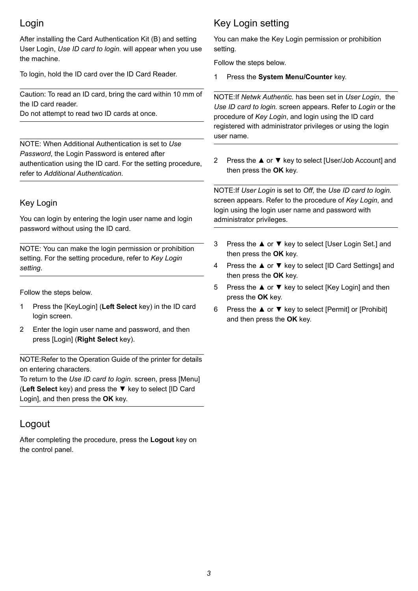# <span id="page-3-1"></span>Login

After installing the Card Authentication Kit (B) and setting User Login, *Use ID card to login.* will appear when you use the machine.

To login, hold the ID card over the ID Card Reader.

Caution: To read an ID card, bring the card within 10 mm of the ID card reader.

Do not attempt to read two ID cards at once.

NOTE: When Additional Authentication is set to *Use Password*, the Login Password is entered after authentication using the ID card. For the setting procedure, refer to *[Additional Authentication](#page-4-0)*.

#### <span id="page-3-0"></span>Key Login

You can login by entering the login user name and login password without using the ID card.

NOTE: You can make the login permission or prohibition setting. For the setting procedure, refer to *[Key Login](#page-3-2)  [setting](#page-3-2)*.

Follow the steps below.

- 1 Press the [KeyLogin] (**Left Select** key) in the ID card login screen.
- 2 Enter the login user name and password, and then press [Login] (**Right Select** key).

NOTE:Refer to the Operation Guide of the printer for details on entering characters.

To return to the *Use ID card to login.* screen, press [Menu] (**Left Select** key) and press the **▼** key to select [ID Card Login], and then press the **OK** key.

### Logout

After completing the procedure, press the **Logout** key on the control panel.

# <span id="page-3-2"></span>Key Login setting

You can make the Key Login permission or prohibition setting.

Follow the steps below.

1 Press the **System Menu/Counter** key.

NOTE:If *Netwk Authentic.* has been set in *User Login*, the *Use ID card to login.* screen appears. Refer to *[Login](#page-3-1)* or the procedure of *[Key Login](#page-3-0)*, and login using the ID card registered with administrator privileges or using the login user name.

2 Press the **▲** or **▼** key to select [User/Job Account] and then press the **OK** key.

NOTE:If *User Login* is set to *Off*, the *Use ID card to login.* screen appears. Refer to the procedure of *Key Login*, and login using the login user name and password with administrator privileges.

- 3 Press the **▲** or **▼** key to select [User Login Set.] and then press the **OK** key.
- 4 Press the **▲** or **▼** key to select [ID Card Settings] and then press the **OK** key.
- 5 Press the **▲** or **▼** key to select [Key Login] and then press the **OK** key.
- 6 Press the **▲** or **▼** key to select [Permit] or [Prohibit] and then press the **OK** key.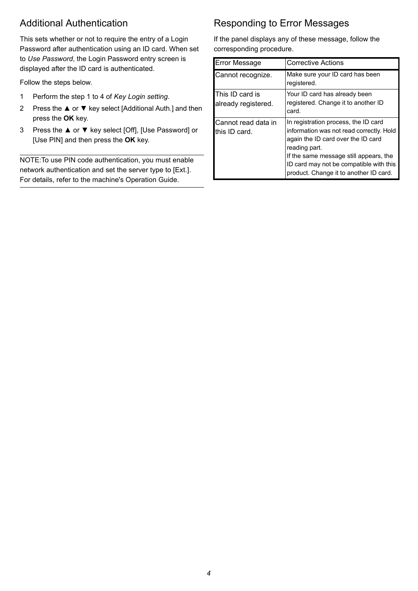# <span id="page-4-0"></span>Additional Authentication

This sets whether or not to require the entry of a Login Password after authentication using an ID card. When set to *Use Password*, the Login Password entry screen is displayed after the ID card is authenticated.

Follow the steps below.

- 1 Perform the step 1 to 4 of *[Key Login setting](#page-3-2)*.
- 2 Press the **▲** or **▼** key select [Additional Auth.] and then press the **OK** key.
- 3 Press the **▲** or **▼** key select [Off], [Use Password] or [Use PIN] and then press the **OK** key.

NOTE:To use PIN code authentication, you must enable network authentication and set the server type to [Ext.]. For details, refer to the machine's Operation Guide.

# Responding to Error Messages

If the panel displays any of these message, follow the corresponding procedure.

| <b>Error Message</b>                   | <b>Corrective Actions</b>                                                                                                                                                                                                                                              |
|----------------------------------------|------------------------------------------------------------------------------------------------------------------------------------------------------------------------------------------------------------------------------------------------------------------------|
| Cannot recognize.                      | Make sure your ID card has been<br>registered.                                                                                                                                                                                                                         |
| This ID card is<br>already registered. | Your ID card has already been<br>registered. Change it to another ID<br>card.                                                                                                                                                                                          |
| Cannot read data in<br>this ID card.   | In registration process, the ID card<br>information was not read correctly. Hold<br>again the ID card over the ID card<br>reading part.<br>If the same message still appears, the<br>ID card may not be compatible with this<br>product. Change it to another ID card. |